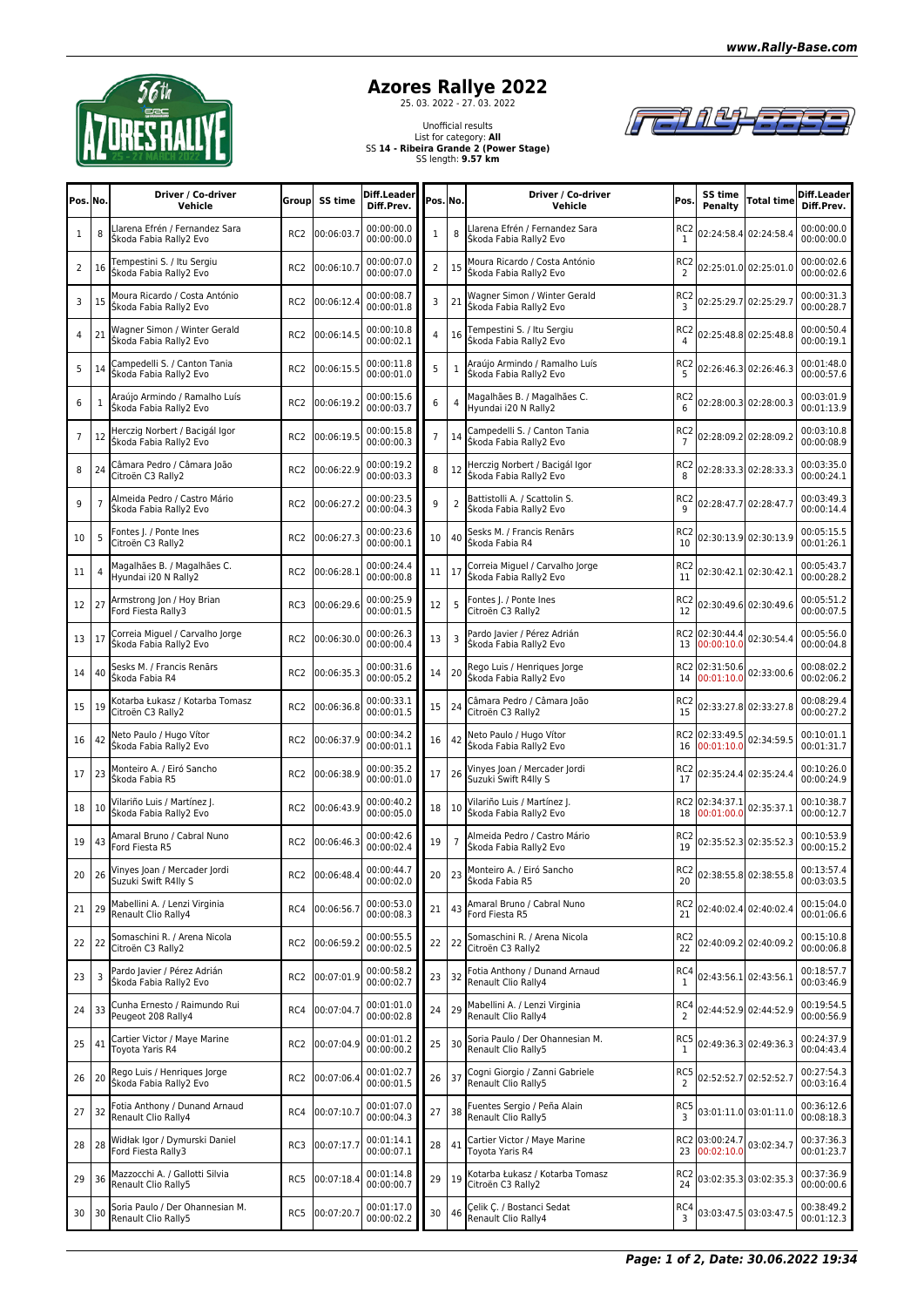

## **Azores Rallye 2022**<br>
25. 03. 2022 - 27. 03. 2022

## Unofficial results List for category: **All** SS **14 - Ribeira Grande 2 (Power Stage)** SS length: **9.57 km**



| Pos. No.       |    | Driver / Co-driver<br>Vehicle                             | <b>Group</b>    | SS time    | Diff.Leader<br>Diff.Prev. | Pos. No.       |                | Driver / Co-driver<br>Vehicle                             | Pos.                              | SS time<br><b>Penalty</b>    | Total time                | Diff.Leader<br>Diff.Prev. |
|----------------|----|-----------------------------------------------------------|-----------------|------------|---------------------------|----------------|----------------|-----------------------------------------------------------|-----------------------------------|------------------------------|---------------------------|---------------------------|
| 1              | 8  | Llarena Efrén / Fernandez Sara<br>Škoda Fabia Rally2 Evo  | RC <sub>2</sub> | 00:06:03.7 | 00:00:00.0<br>00:00:00.0  | $\mathbf{1}$   | 8              | Llarena Efrén / Fernandez Sara<br>Škoda Fabia Rally2 Evo  | RC <sub>2</sub><br>1              |                              | 02:24:58.4 02:24:58.4     | 00:00:00.0<br>00:00:00.0  |
| 2              | 16 | Tempestini S. / Itu Sergiu<br>Škoda Fabia Rally2 Evo      | RC <sub>2</sub> | 00:06:10.7 | 00:00:07.0<br>00:00:07.0  | $\overline{2}$ | 15             | Moura Ricardo / Costa António<br>Škoda Fabia Rally2 Evo   | RC <sub>2</sub><br>$\overline{2}$ |                              | 02:25:01.0 02:25:01.0     | 00:00:02.6<br>00:00:02.6  |
| 3              | 15 | Moura Ricardo / Costa António<br>Škoda Fabia Rally2 Evo   | RC <sub>2</sub> | 00:06:12.4 | 00:00:08.7<br>00:00:01.8  | 3              | 21             | Wagner Simon / Winter Gerald<br>Škoda Fabia Rally2 Evo    | RC <sub>2</sub><br>3              |                              | 02:25:29.7 02:25:29.7     | 00:00:31.3<br>00:00:28.7  |
| 4              | 21 | Wagner Simon / Winter Gerald<br>Škoda Fabia Rally2 Evo    | RC <sub>2</sub> | 00:06:14.5 | 00:00:10.8<br>00:00:02.1  | 4              | 16             | Tempestini S. / Itu Sergiu<br>Škoda Fabia Rally2 Evo      | RC <sub>2</sub><br>$\overline{4}$ |                              | 02:25:48.8 02:25:48.8     | 00:00:50.4<br>00:00:19.1  |
| 5              | 14 | Campedelli S. / Canton Tania<br>Škoda Fabia Rally2 Evo    | RC <sub>2</sub> | 00:06:15.5 | 00:00:11.8<br>00:00:01.0  | 5              | $\mathbf{1}$   | Araújo Armindo / Ramalho Luís<br>Škoda Fabia Rally2 Evo   | RC <sub>2</sub><br>5              |                              | 02:26:46.3 02:26:46.3     | 00:01:48.0<br>00:00:57.6  |
| 6              | 1  | Araújo Armindo / Ramalho Luís<br>Škoda Fabia Rally2 Evo   | RC <sub>2</sub> | 00:06:19.2 | 00:00:15.6<br>00:00:03.7  | 6              | 4              | Magalhães B. / Magalhães C.<br>Hyundai i20 N Rally2       | RC <sub>2</sub><br>6              |                              | 02:28:00.3 02:28:00.3     | 00:03:01.9<br>00:01:13.9  |
| $\overline{7}$ | 12 | Herczig Norbert / Bacigál Igor<br>Škoda Fabia Rally2 Evo  | RC <sub>2</sub> | 00:06:19.5 | 00:00:15.8<br>00:00:00.3  | $\overline{7}$ | 14             | Campedelli S. / Canton Tania<br>Škoda Fabia Rally2 Evo    | RC <sub>2</sub>                   |                              | 02:28:09.2 02:28:09.2     | 00:03:10.8<br>00:00:08.9  |
| 8              | 24 | Câmara Pedro / Câmara João<br>Citroën C3 Rally2           | RC <sub>2</sub> | 00:06:22.9 | 00:00:19.2<br>00:00:03.3  | 8              | 12             | Herczig Norbert / Bacigál Igor<br>Škoda Fabia Rally2 Evo  | RC <sub>2</sub><br>8              |                              | 02:28:33.3 02:28:33.3     | 00:03:35.0<br>00:00:24.1  |
| 9              |    | Almeida Pedro / Castro Mário<br>Škoda Fabia Rally2 Evo    | RC <sub>2</sub> | 00:06:27.2 | 00:00:23.5<br>00:00:04.3  | 9              | $\overline{2}$ | Battistolli A. / Scattolin S.<br>Skoda Fabia Rally2 Evo   | RC <sub>2</sub><br>9              |                              | 02:28:47.7 02:28:47.7     | 00:03:49.3<br>00:00:14.4  |
| 10             | 5  | Fontes J. / Ponte Ines<br>Citroën C3 Rally2               | RC <sub>2</sub> | 00:06:27.3 | 00:00:23.6<br>00:00:00.1  | 10             | 40             | Sesks M. / Francis Renārs<br>Škoda Fabia R4               | RC <sub>2</sub><br>10             |                              | 02:30:13.9 02:30:13.9     | 00:05:15.5<br>00:01:26.1  |
| 11             | 4  | Magalhães B. / Magalhães C.<br>Hyundai i20 N Rally2       | RC <sub>2</sub> | 00:06:28.1 | 00:00:24.4<br>00:00:00.8  | 11             | 17             | Correia Miguel / Carvalho Jorge<br>Škoda Fabia Rally2 Evo | RC <sub>2</sub><br>11             |                              | 02:30:42.1 02:30:42.1     | 00:05:43.7<br>00:00:28.2  |
| 12             | 27 | Armstrong Jon / Hoy Brian<br>Ford Fiesta Rally3           | RC3             | 00:06:29.6 | 00:00:25.9<br>00:00:01.5  | 12             | 5              | Fontes J. / Ponte Ines<br>Citroën C3 Rally2               | RC <sub>2</sub><br>12             |                              | 02:30:49.6 02:30:49.6     | 00:05:51.2<br>00:00:07.5  |
| 13             | 17 | Correia Miguel / Carvalho Jorge<br>Škoda Fabia Rally2 Evo | RC <sub>2</sub> | 00:06:30.0 | 00:00:26.3<br>00:00:00.4  | 13             | 3              | Pardo Javier / Pérez Adrián<br>Škoda Fabia Rally2 Evo     | 13                                | RC2 02:30:44.4<br>00:00:10.0 | 02:30:54.4                | 00:05:56.0<br>00:00:04.8  |
| 14             | 40 | Sesks M. / Francis Renārs<br>Škoda Fabia R4               | RC <sub>2</sub> | 00:06:35.3 | 00:00:31.6<br>00:00:05.2  | 14             | 20             | Rego Luis / Henriques Jorge<br>Škoda Fabia Rally2 Evo     | 14                                | RC2 02:31:50.6<br>00:01:10.0 | 02:33:00.6                | 00:08:02.2<br>00:02:06.2  |
| 15             | 19 | Kotarba Łukasz / Kotarba Tomasz<br>Citroën C3 Rally2      | RC <sub>2</sub> | 00:06:36.8 | 00:00:33.1<br>00:00:01.5  | 15             | 24             | Câmara Pedro / Câmara João<br>Citroën C3 Rally2           | RC <sub>2</sub><br>15             |                              | 02:33:27.8 02:33:27.8     | 00:08:29.4<br>00:00:27.2  |
| 16             | 42 | Neto Paulo / Hugo Vítor<br>Škoda Fabia Rally2 Evo         | RC <sub>2</sub> | 00:06:37.9 | 00:00:34.2<br>00:00:01.1  | 16             | 42             | Neto Paulo / Hugo Vítor<br>Škoda Fabia Rally2 Evo         | 16                                | RC2 02:33:49.5<br>00:01:10.0 | 02:34:59.5                | 00:10:01.1<br>00:01:31.7  |
| 17             | 23 | Monteiro A. / Eiró Sancho<br>Škoda Fabia R5               | RC <sub>2</sub> | 00:06:38.9 | 00:00:35.2<br>00:00:01.0  | 17             | 26             | Vinyes Joan / Mercader Jordi<br>Suzuki Swift R4lly S      | RC <sub>2</sub><br>17             |                              | 02:35:24.4 02:35:24.4     | 00:10:26.0<br>00:00:24.9  |
| 18             | 10 | Vilariño Luis / Martínez J.<br>Škoda Fabia Rally2 Evo     | RC <sub>2</sub> | 00:06:43.9 | 00:00:40.2<br>00:00:05.0  | 18             | 10             | Vilariño Luis / Martínez J.<br>Škoda Fabia Rally2 Evo     | 18                                | RC2 02:34:37.1<br>00:01:00.0 | 02:35:37.1                | 00:10:38.7<br>00:00:12.7  |
| 19             | 43 | Amaral Bruno / Cabral Nuno<br>Ford Fiesta R5              | RC <sub>2</sub> | 00:06:46.3 | 00:00:42.6<br>00:00:02.4  | 19             | $\overline{7}$ | Almeida Pedro / Castro Mário<br>Škoda Fabia Rally2 Evo    | RC <sub>2</sub><br>19             |                              | 02:35:52.3 02:35:52.3     | 00:10:53.9<br>00:00:15.2  |
| 20             | 26 | Vinyes Joan / Mercader Jordi<br>Suzuki Swift R4lly S      | RC <sub>2</sub> | 00:06:48.4 | 00:00:44.7<br>00:00:02.0  | 20             | 23             | Monteiro A. / Eiró Sancho<br>Škoda Fabia R5               |                                   |                              | RC2 02:38:55.8 02:38:55.8 | 00:13:57.4<br>00:03:03.5  |
| $21$   29      |    | Mabellini A. / Lenzi Virginia<br>Renault Clio Rally4      | RC4             | 00:06:56.7 | 00:00:53.0<br>00:00:08.3  | 21             | 43             | Amaral Bruno / Cabral Nuno<br>Ford Fiesta R5              | RC <sub>2</sub><br>21             | 02:40:02.4 02:40:02.4        |                           | 00:15:04.0<br>00:01:06.6  |
| $22 \mid 22$   |    | Somaschini R. / Arena Nicola<br>Citroën C3 Rally2         | RC <sub>2</sub> | 00:06:59.2 | 00:00:55.5<br>00:00:02.5  | 22             | 22             | Somaschini R. / Arena Nicola<br>Citroën C3 Rally2         | RC <sub>2</sub><br>22             |                              | 02:40:09.2 02:40:09.2     | 00:15:10.8<br>00:00:06.8  |
| 23             | 3  | Pardo Javier / Pérez Adrián<br>Škoda Fabia Rally2 Evo     | RC <sub>2</sub> | 00:07:01.9 | 00:00:58.2<br>00:00:02.7  | 23             | 32             | Fotia Anthony / Dunand Arnaud<br>Renault Clio Rally4      | RC4<br>1                          | 02:43:56.1 02:43:56.1        |                           | 00:18:57.7<br>00:03:46.9  |
| 24             | 33 | Cunha Ernesto / Raimundo Rui<br>Peugeot 208 Rally4        | RC4             | 00:07:04.7 | 00:01:01.0<br>00:00:02.8  | 24             | 29             | Mabellini A. / Lenzi Virginia<br>Renault Clio Rally4      | RC4<br>2                          |                              | 02:44:52.9 02:44:52.9     | 00:19:54.5<br>00:00:56.9  |
| 25             | 41 | Cartier Victor / Maye Marine<br>Toyota Yaris R4           | RC <sub>2</sub> | 00:07:04.9 | 00:01:01.2<br>00:00:00.2  | 25             | 30             | Soria Paulo / Der Ohannesian M.<br>Renault Clio Rally5    | RC5                               |                              | 02:49:36.3 02:49:36.3     | 00:24:37.9<br>00:04:43.4  |
| $26$   20      |    | Rego Luis / Henriques Jorge<br>Škoda Fabia Rally2 Evo     | RC <sub>2</sub> | 00:07:06.4 | 00:01:02.7<br>00:00:01.5  | 26             | 37             | Cogni Giorgio / Zanni Gabriele<br>Renault Clio Rally5     | RC5<br>2                          | 02:52:52.7 02:52:52.7        |                           | 00:27:54.3<br>00:03:16.4  |
| 27 32          |    | Fotia Anthony / Dunand Arnaud<br>Renault Clio Rally4      | RC4             | 00:07:10.7 | 00:01:07.0<br>00:00:04.3  | 27             | 38             | Fuentes Sergio / Peña Alain<br>Renault Clio Rally5        | RC5<br>3                          |                              | 03:01:11.0 03:01:11.0     | 00:36:12.6<br>00:08:18.3  |
| 28             | 28 | Widłak Igor / Dymurski Daniel<br>Ford Fiesta Rally3       | RC3             | 00:07:17.7 | 00:01:14.1<br>00:00:07.1  | 28             | 41             | Cartier Victor / Maye Marine<br>Toyota Yaris R4           | 23                                | RC2 03:00:24.7<br>00:02:10.0 | 03:02:34.7                | 00:37:36.3<br>00:01:23.7  |
| 29             | 36 | Mazzocchi A. / Gallotti Silvia<br>Renault Clio Rally5     | RC5             | 00:07:18.4 | 00:01:14.8<br>00:00:00.7  | 29             | 19             | Kotarba Łukasz / Kotarba Tomasz<br>Citroën C3 Rally2      | RC <sub>2</sub><br>24             |                              | 03:02:35.3 03:02:35.3     | 00:37:36.9<br>00:00:00.6  |
| 30 30          |    | Soria Paulo / Der Ohannesian M.<br>Renault Clio Rally5    | RC5             | 00:07:20.7 | 00:01:17.0<br>00:00:02.2  | 30             | 46             | Çelik Ç. / Bostanci Sedat<br>Renault Clio Rally4          | RC4<br>3                          |                              | 03:03:47.5 03:03:47.5     | 00:38:49.2<br>00:01:12.3  |